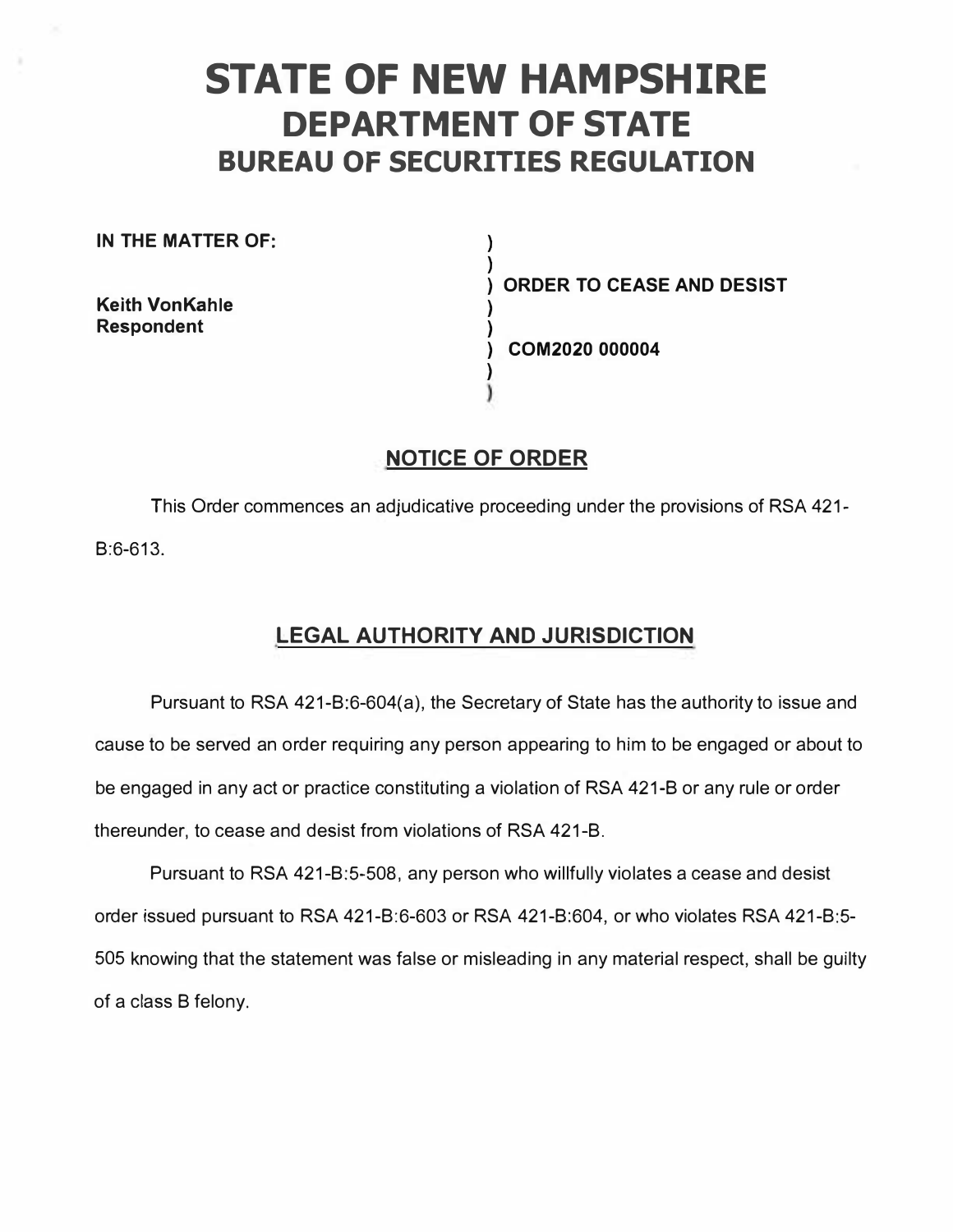# **STATE OF NEW HAMPSHIRE DEPARTMENT OF STATE BUREAU OF SECURITIES REGULATION**

**) )** 

> **) )**

**)** 

**IN THE MATTER OF:** 

**Keith VonKahle Respondent** 

**) ORDER TO CEASE AND DESIST** 

**) COM2020 000004** 

# **NOTICE OF ORDER**

This Order commences an adjudicative proceeding under the provisions of RSA 421- B:6-613.

# **LEGAL AUTHORITY AND JURISDICTION**

Pursuant to RSA 421-B:6-604(a), the Secretary of State has the authority to issue and cause to be served an order requiring any person appearing to him to be engaged or about to be engaged in any act or practice constituting a violation of RSA 421-B or any rule or order thereunder, to cease and desist from violations of RSA 421-B.

Pursuant to RSA 421-B:5-508, any person who willfully violates a cease and desist order issued pursuant to RSA 421-B:6-603 or RSA 421-B:604, or who violates RSA 421-B:5- 505 knowing that the statement was false or misleading in any material respect, shall be guilty of a class B felony.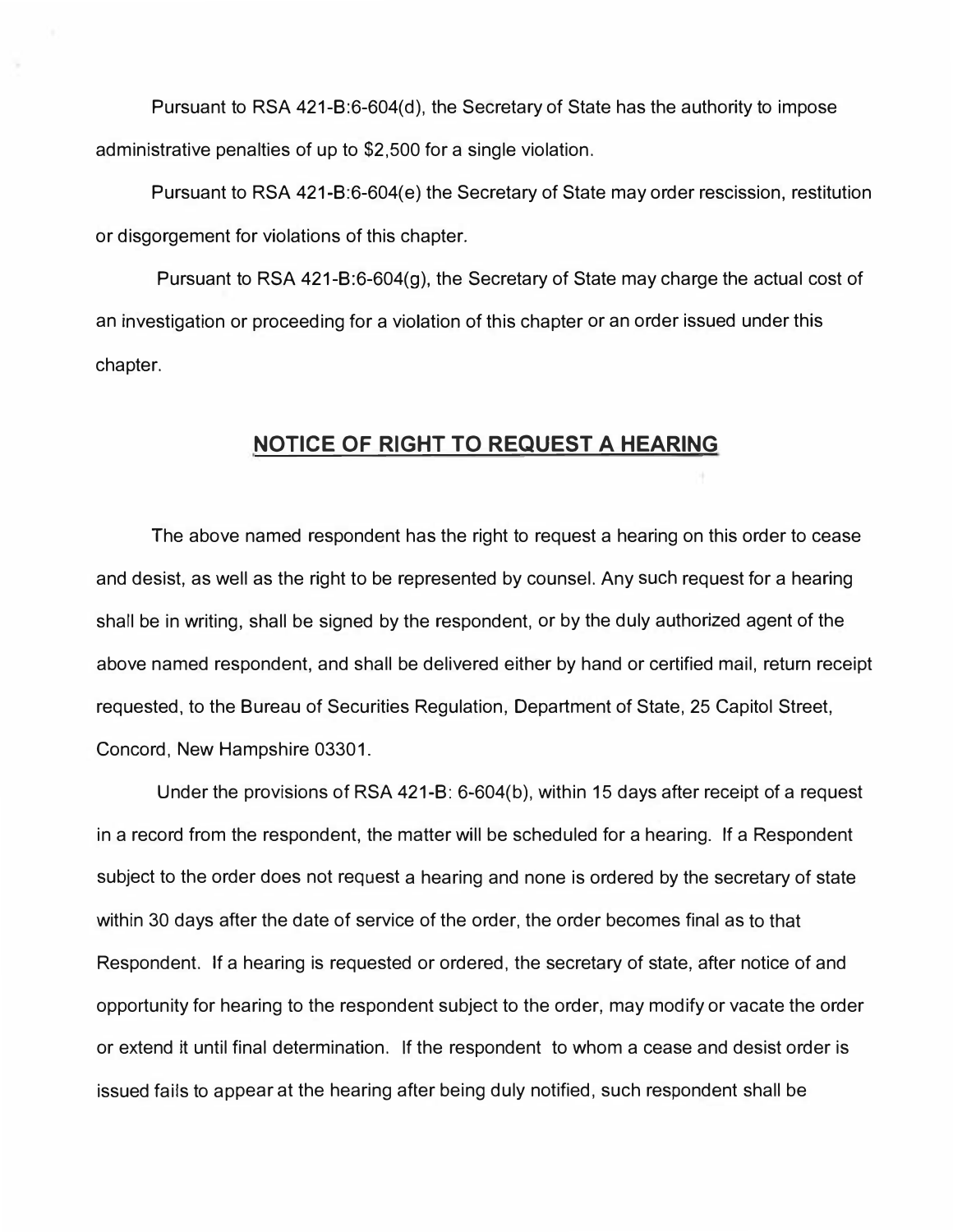**Pursuant to RSA 421-8:6-604(d), the Secretary of State has the authority to impose administrative penalties of up to \$2,500 for a single violation.** 

**Pursuant to RSA 421-8:6-604(e) the Secretary of State may order rescission, restitution or disgorgement for violations of this chapter.** 

**Pursuant to RSA 421-8:6-604(9), the Secretary of State may charge the actual cost of an investigation or proceeding for a violation of this chapter or an order issued under this chapter.** 

### **NOTICE OF RIGHT TO REQUEST A HEARING**

**The above named respondent has the right to request a hearing on this order to cease and desist, as well as the right to be represented by counsel. Any such request for a hearing shall be in writing, shall be signed by the respondent, or by the duly authorized agent of the above named respondent, and shall be delivered either by hand or certified mail, return receipt requested, to the Bureau of Securities Regulation, Department of State, 25 Capitol Street, Concord, New Hampshire 03301.** 

**Under the provisions of RSA 421-8: 6-604(b), within 15 days after receipt of a request in a record from the respondent, the matter will be scheduled for a hearing. If a Respondent subject to the order does not request a hearing and none is ordered by the secretary of state within 30 days after the date of service of the order, the order becomes final as to that Respondent. If a hearing is requested or ordered, the secretary of state, after notice of and opportunity for hearing to the respondent subject to the order, may modify or vacate the order or extend it until final determination. If the respondent to whom a cease and desist order is issued fails to appear at the hearing after being duly notified, such respondent shall be**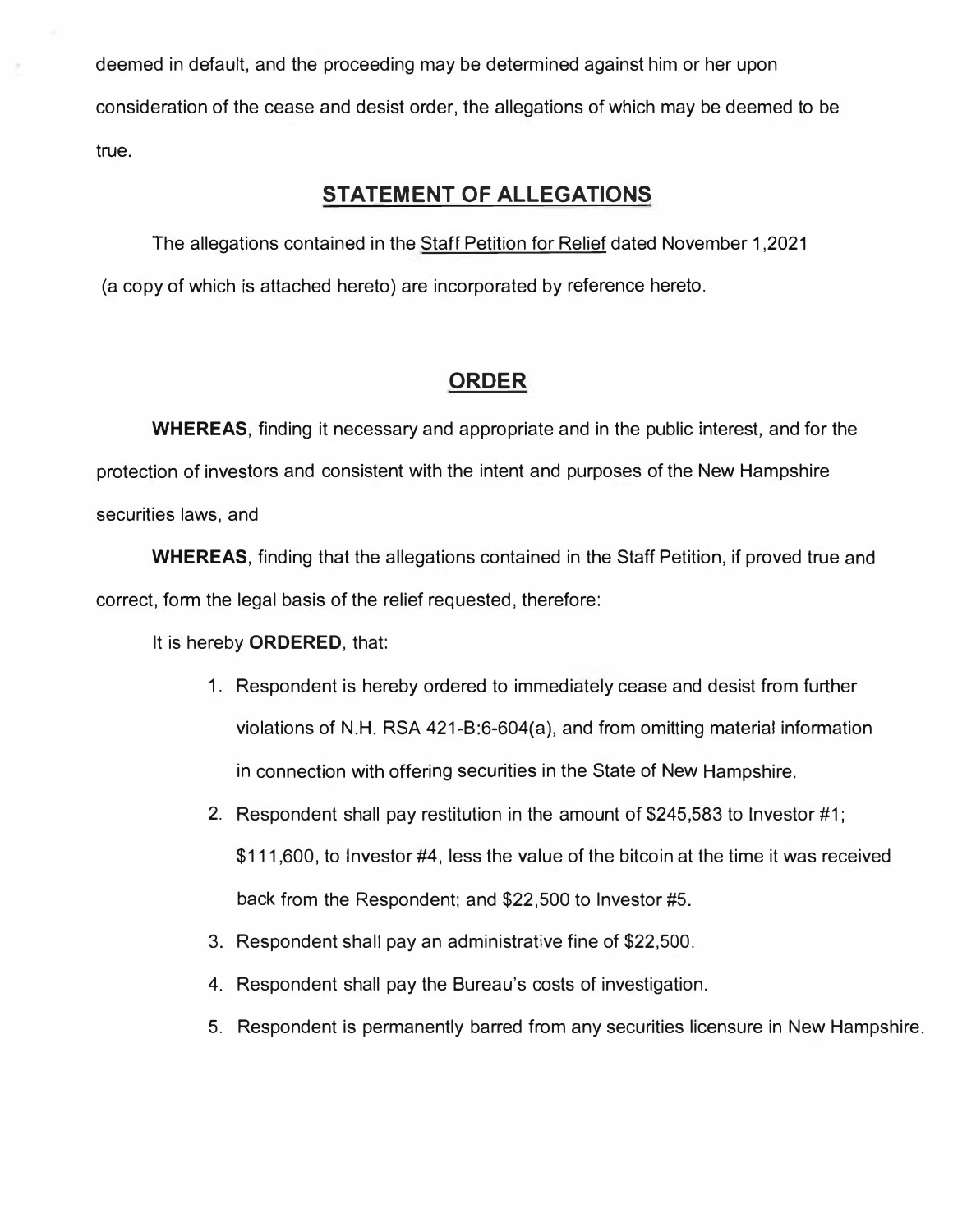deemed in default, and the proceeding may be determined against him or her upon consideration of the cease and desist order, the allegations of which may be deemed to be true.

## **STATEMENT OF ALLEGATIONS**

The allegations contained in the Staff Petition for Relief dated November 1,2021 (a copy of which is attached hereto) are incorporated by reference hereto.

## **ORDER**

**WHEREAS,** finding it necessary and appropriate and in the public interest, and for the protection of investors and consistent with the intent and purposes of the New Hampshire securities laws, and

**WHEREAS,** finding that the allegations contained in the Staff Petition, if proved true and correct, form the legal basis of the relief requested, therefore:

It is hereby **ORDERED,** that:

- 1. Respondent is hereby ordered to immediately cease and desist from further violations of N.H. RSA 421-B:6-604(a), and from omitting material information in connection with offering securities in the State of New Hampshire.
- 2. Respondent shall pay restitution in the amount of \$245,583 to Investor #1; \$111,600, to Investor #4, less the value of the bitcoin at the time it was received back from the Respondent; and \$22,500 to Investor #5.
- 3. Respondent shall pay an administrative fine of \$22,500.
- 4. Respondent shall pay the Bureau's costs of investigation.
- 5. Respondent is permanently barred from any securities licensure in New Hampshire.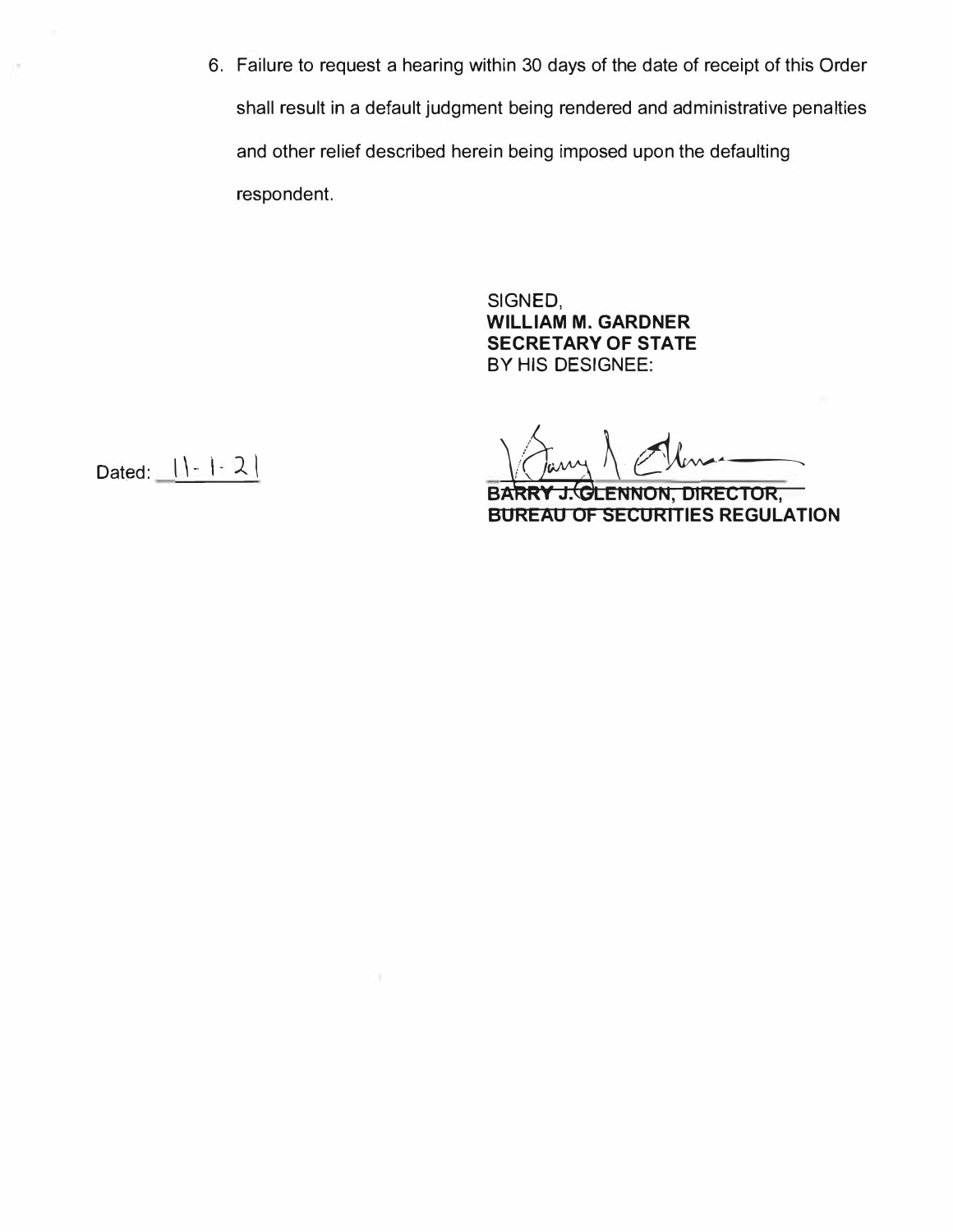**6. Failure to request a hearing within 30 days of the date of receipt of this Order shall result in a default judgment being rendered and administrative penalties and other relief described herein being imposed upon the defaulting respondent.** 

> **SIGNED, WILLIAM M. GARDNER SECRETARY OF STATE BY HIS DESIGNEE:**

**BARRY J. GLENNON, DIRECTOR, BUREAU OF SECURITIES REGULATION** 

Dated:  $1 - 1 - 2$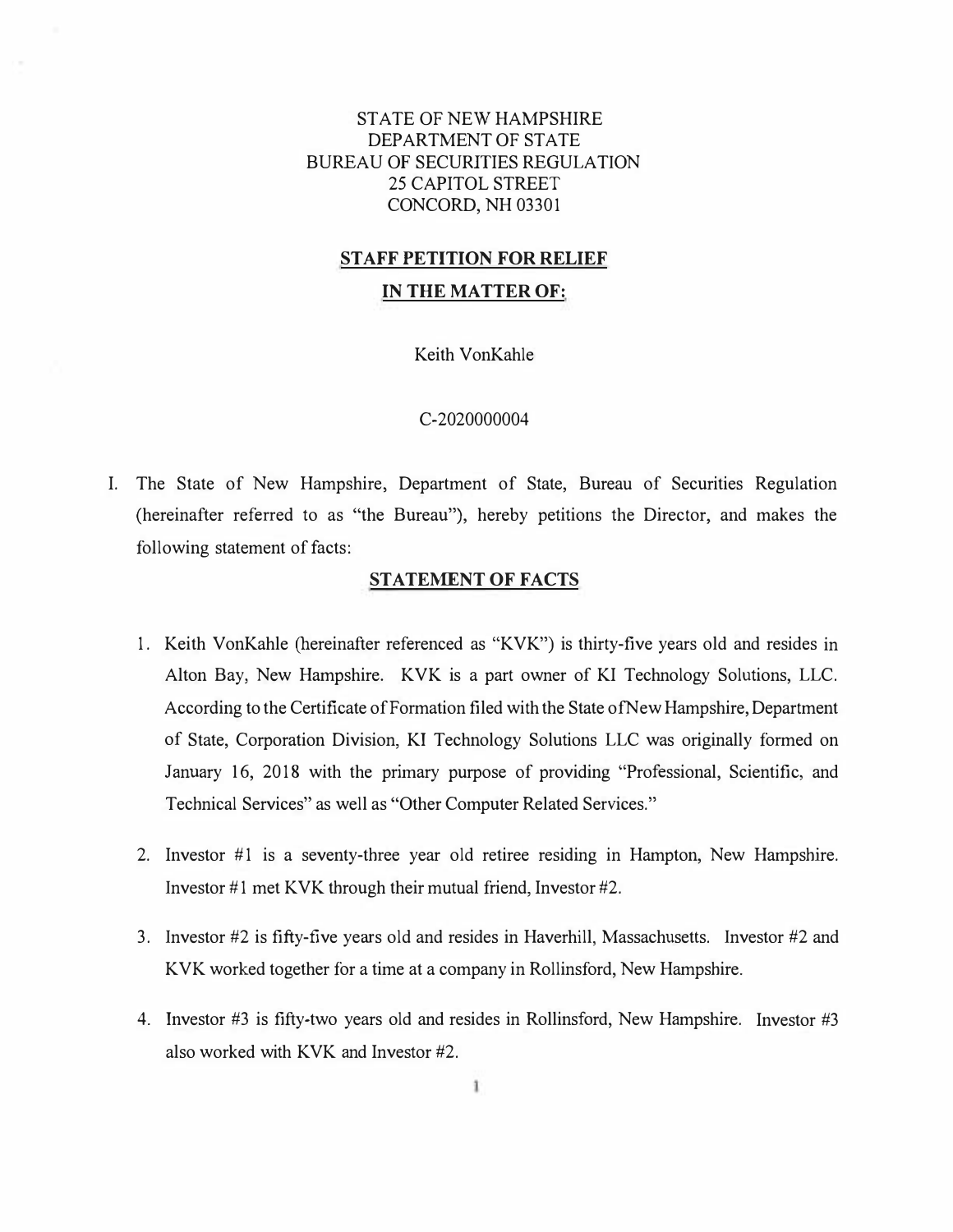#### STATE OF NEW HAMPSHIRE DEPARTMENT OF STATE BUREAU OF SECURITIES REGULATION 25 CAPITOL STREET CONCORD, NH 03301

#### **STAFF PETITION FOR RELIEF**

#### **IN THE MATTER OF:**

Keith VonKahle

#### C-2020000004

I. The State of New Hampshire, Department of State, Bureau of Securities Regulation (hereinafter referred to as "the Bureau"), hereby petitions the Director, and makes the following statement of facts:

#### **STATEMENT OF FACTS**

- 1. Keith VonKahle (hereinafter referenced as "KVK") is thirty-five years old and resides in Alton Bay, New Hampshire. KVK is a part owner of KI Technology Solutions, LLC. According to the Certificate of Formation filed with the State ofNew Hampshire, Department of State, Corporation Division, KI Technology Solutions LLC was originally formed on January 16, 2018 with the primary purpose of providing "Professional, Scientific, and Technical Services" as well as "Other Computer Related Services."
- 2. Investor #1 is a seventy-three year old retiree residing in Hampton, New Hampshire. Investor #1 met KVK through their mutual friend, Investor #2.
- 3. Investor #2 is fifty-five years old and resides in Haverhill, Massachusetts. Investor #2 and KVK worked together for a time at a company in Rollinsford, New Hampshire.
- 4. Investor #3 is fifty-two years old and resides in Rollinsford, New Hampshire. Investor #3 also worked with KVK and Investor #2.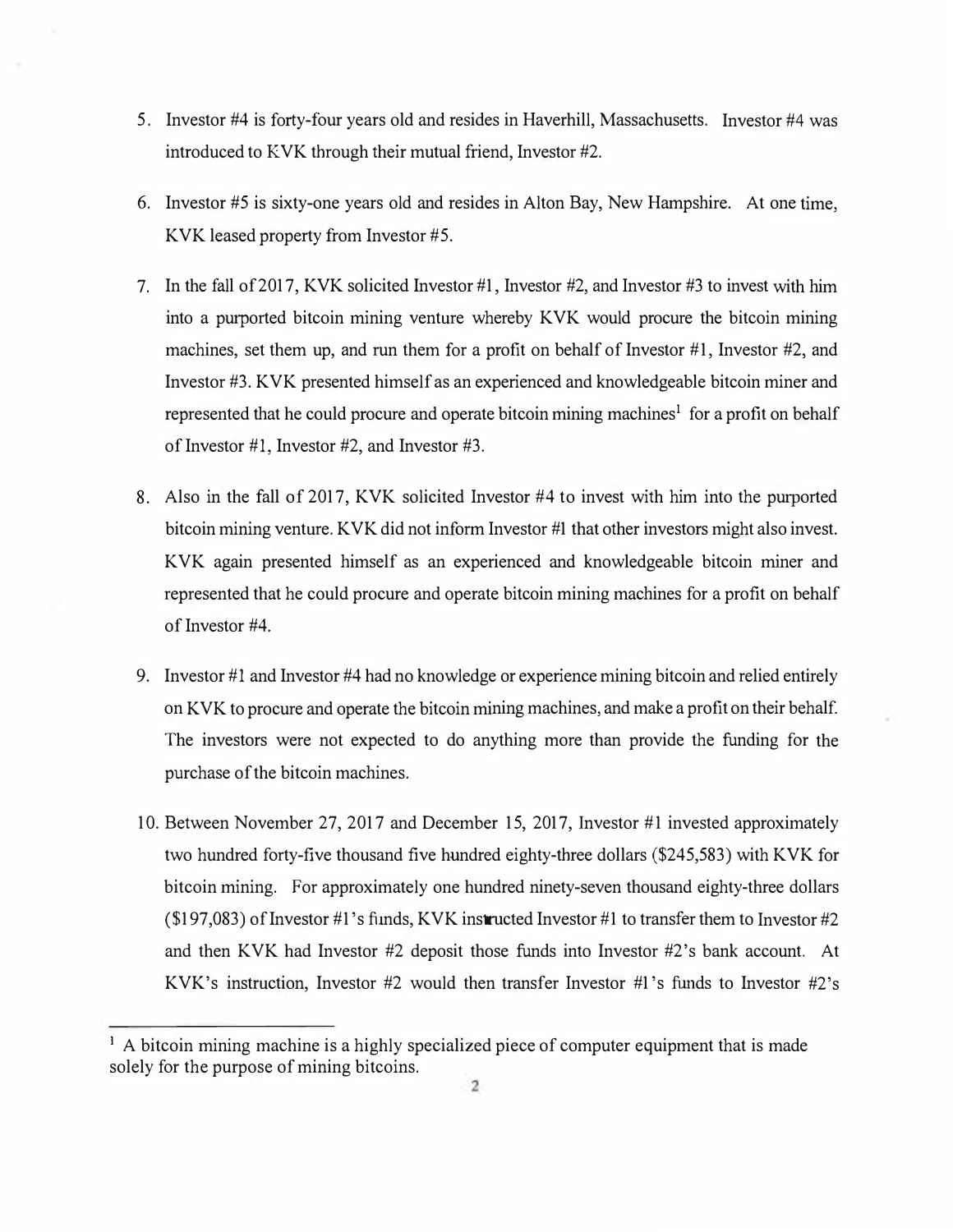- 5. Investor #4 is forty-four years old and resides in Haverhill, Massachusetts. Investor #4 was introduced to KVK through their mutual friend, Investor #2.
- 6. Investor #5 is sixty-one years old and resides in Alton Bay, New Hampshire. At one time, KVK leased property from Investor #5.
- 7. In the fall of 2017, KVK solicited Investor #1, Investor #2, and Investor #3 to invest with him into a purported bitcoin mining venture whereby KVK would procure the bitcoin mining machines, set them up, and run them for a profit on behalf of Investor  $#1$ , Investor  $#2$ , and Investor #3. KVK presented himself as an experienced and knowledgeable bitcoin miner and represented that he could procure and operate bitcoin mining machines<sup>1</sup> for a profit on behalf of Investor #1, Investor #2, and Investor #3.
- 8. Also in the fall of 2017, KVK solicited Investor #4 to invest with him into the purported bitcoin mining venture. KVK did not inform Investor #1 that other investors might also invest. KVK again presented himself as an experienced and knowledgeable bitcoin miner and represented that he could procure and operate bitcoin mining machines for a profit on behalf of Investor #4.
- 9. Investor #1 and Investor #4 had no knowledge or experience mining bitcoin and relied entirely on KVK to procure and operate the bitcoin mining machines, and make a profit on their behalf. The investors were not expected to do anything more than provide the funding for the purchase of the bitcoin machines.
- 10. Between November 27, 2017 and December 15, 2017, Investor #1 invested approximately two hundred forty-five thousand five hundred eighty-three dollars (\$245,583) with KVK for bitcoin mining. For approximately one hundred ninety-seven thousand eighty-three dollars  $(197,083)$  of Investor #1's funds, KVK instructed Investor #1 to transfer them to Investor #2 and then KVK had Investor #2 deposit those funds into Investor #2's bank account. At KVK's instruction, Investor #2 would then transfer Investor #1 's funds to Investor #2's

<sup>&</sup>lt;sup>1</sup> A bitcoin mining machine is a highly specialized piece of computer equipment that is made solely for the purpose of mining bitcoins.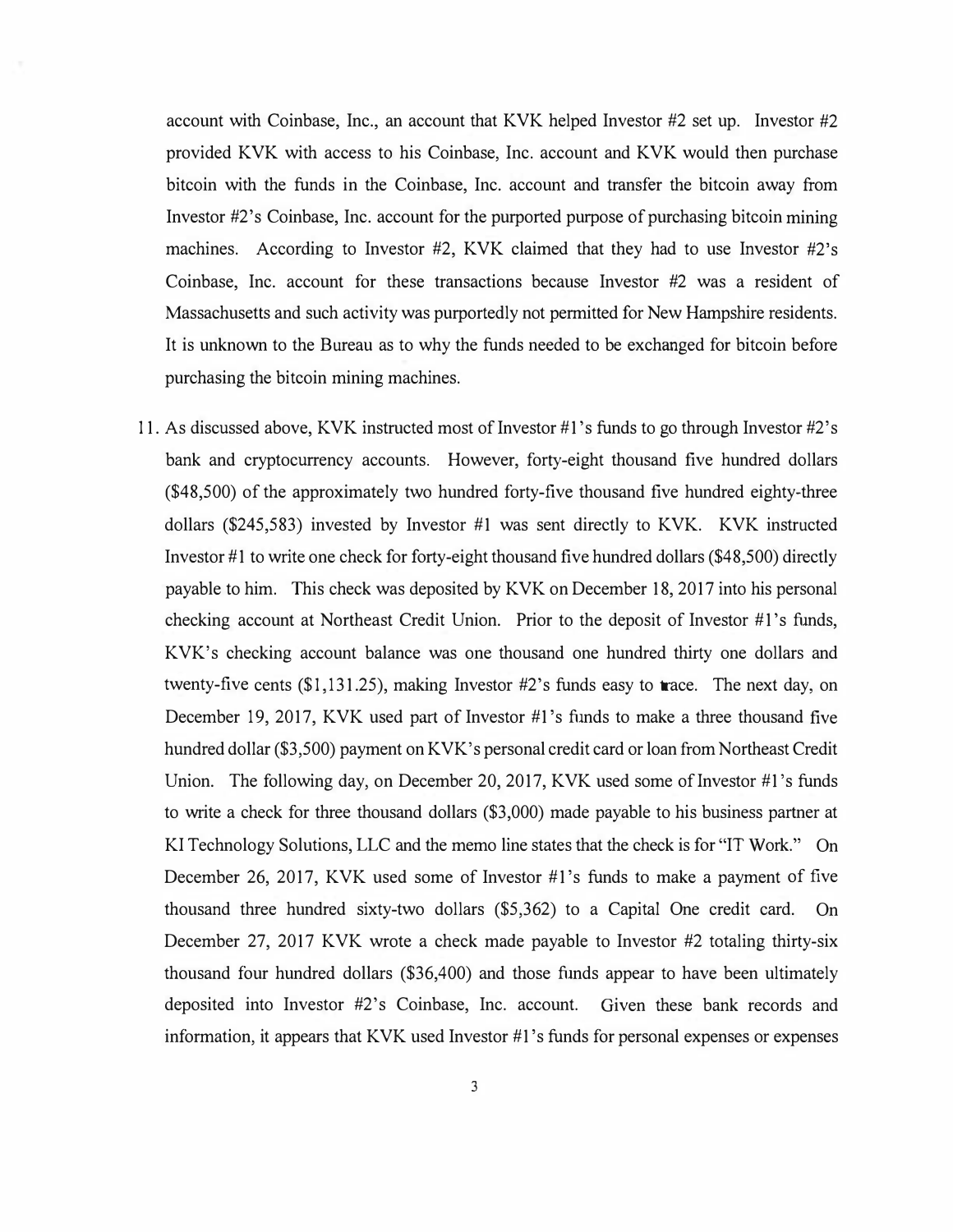account with Coinbase, Inc., an account that KVK helped Investor #2 set up. Investor #2 provided KVK with access to his Coinbase, Inc. account and KVK would then purchase bitcoin with the funds in the Coinbase, Inc. account and transfer the bitcoin away from Investor #2's Coinbase, Inc. account for the purported purpose of purchasing bitcoin mining machines. According to Investor  $#2$ , KVK claimed that they had to use Investor  $#2$ 's Coinbase, Inc. account for these transactions because Investor #2 was a resident of Massachusetts and such activity was purportedly not permitted for New Hampshire residents. It is unknown to the Bureau as to why the funds needed to be exchanged for bitcoin before purchasing the bitcoin mining machines.

11. As discussed above, KVK instructed most of Investor #1's funds to go through Investor #2's bank and cryptocurrency accounts. However, forty-eight thousand five hundred dollars (\$48,500) of the approximately two hundred forty-five thousand five hundred eighty-three dollars (\$245,583) invested by Investor #1 was sent directly to KVK. KVK instructed Investor  $#1$  to write one check for forty-eight thousand five hundred dollars (\$48,500) directly payable to him. This check was deposited by KVK on December 18, 2017 into his personal checking account at Northeast Credit Union. Prior to the deposit of Investor #1 's funds, KVK's checking account balance was one thousand one hundred thirty one dollars and twenty-five cents (\$1,131.25), making Investor #2's funds easy to trace. The next day, on December 19, 2017, KVK used part of Investor  $\#1$ 's funds to make a three thousand five hundred dollar (\$3,500) payment on KVK's personal credit card or loan from Northeast Credit Union. The following day, on December 20, 2017, KVK used some of Investor #1's funds to write a check for three thousand dollars (\$3,000) made payable to his business partner at Kl Technology Solutions, LLC and the memo line states that the check is for "IT Work." On December 26, 2017, KVK used some of Investor #1's funds to make a payment of five thousand three hundred sixty-two dollars (\$5,362) to a Capital One credit card. On December 27, 2017 KVK wrote a check made payable to Investor #2 totaling thirty-six thousand four hundred dollars (\$36,400) and those funds appear to have been ultimately deposited into Investor #2's Coinbase, Inc. account. Given these bank records and information, it appears that KVK used Investor #1 's funds for personal expenses or expenses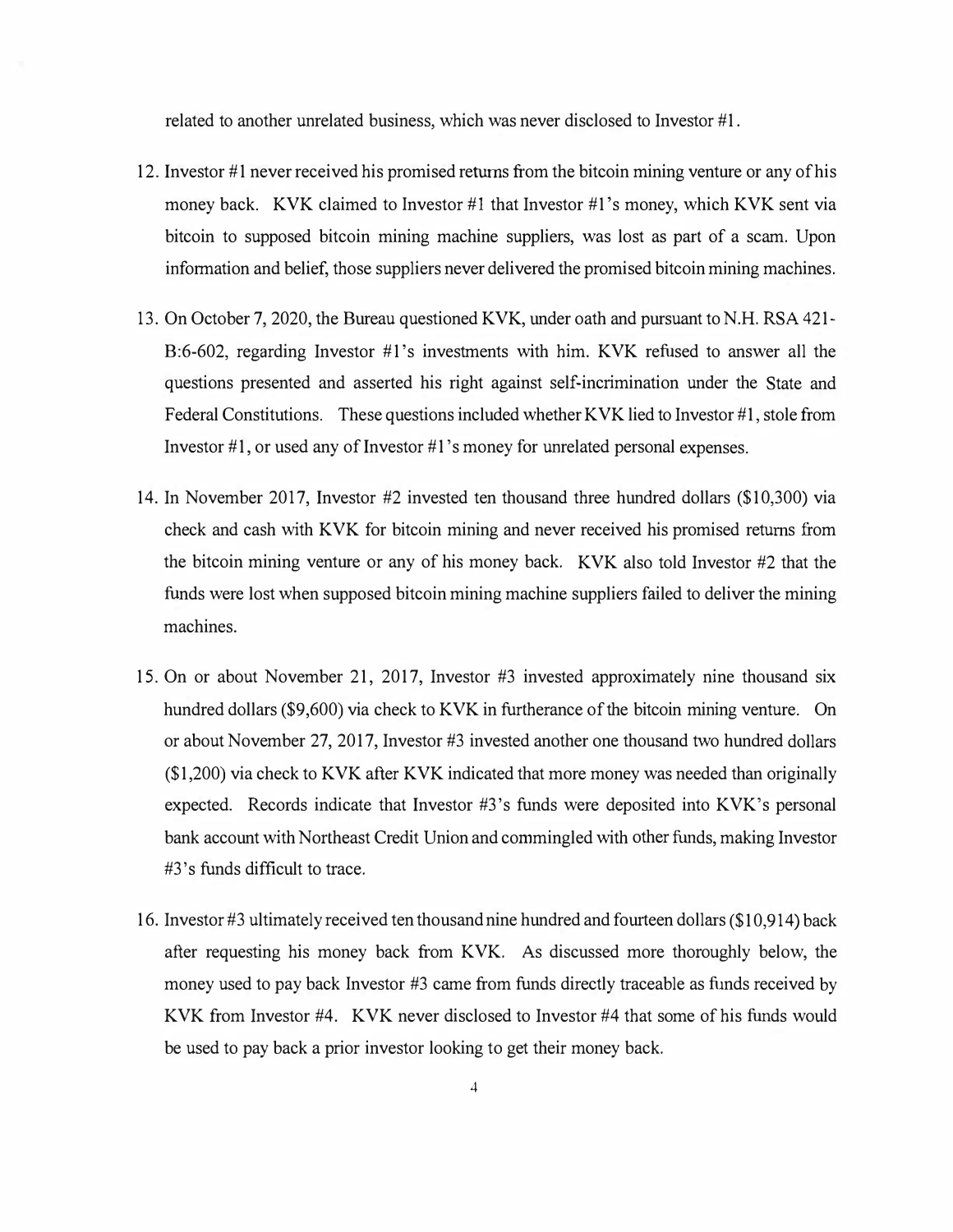related to another unrelated business, which was never disclosed to Investor #1.

- 12. Investor #1 never received his promised returns from the bitcoin mining venture or any of his money back. KVK claimed to Investor #1 that Investor #1 's money, which KVK sent via bitcoin to supposed bitcoin mining machine suppliers, was lost as part of a scam. Upon information and belief, those suppliers never delivered the promised bitcoin mining machines.
- 13. On October 7, 2020, the Bureau questioned KVK, under oath and pursuant to N.H. RSA 421- B:6-602, regarding Investor #1's investments with him. KVK refused to answer all the questions presented and asserted his right against self-incrimination under the State and Federal Constitutions. These questions included whether KVK lied to Investor  $\#1$ , stole from Investor  $\#1$ , or used any of Investor  $\#1$ 's money for unrelated personal expenses.
- 14. In November 2017, Investor #2 invested ten thousand three hundred dollars (\$10,300) via check and cash with KVK for bitcoin mining and never received his promised returns from the bitcoin mining venture or any of his money back. KVK also told Investor #2 that the funds were lost when supposed bitcoin mining machine suppliers failed to deliver the mining machines.
- 15. On or about November 21, 2017, Investor #3 invested approximately nine thousand six hundred dollars (\$9,600) via check to KVK in furtherance of the bitcoin mining venture. On or about November 27, 2017, Investor #3 invested another one thousand two hundred dollars (\$1,200) via check to KVK after KVK indicated that more money was needed than originally expected. Records indicate that Investor #3's funds were deposited into KVK's personal bank account with Northeast Credit Union and commingled with other funds, making Investor #3's funds difficult to trace.
- 16. Investor #3 ultimately received ten thousand nine hundred and fourteen dollars (\$10,914) back after requesting his money back from KVK. As discussed more thoroughly below, the money used to pay back Investor #3 came from funds directly traceable as funds received by KVK from Investor #4. KVK never disclosed to Investor #4 that some of his funds would be used to pay back a prior investor looking to get their money back.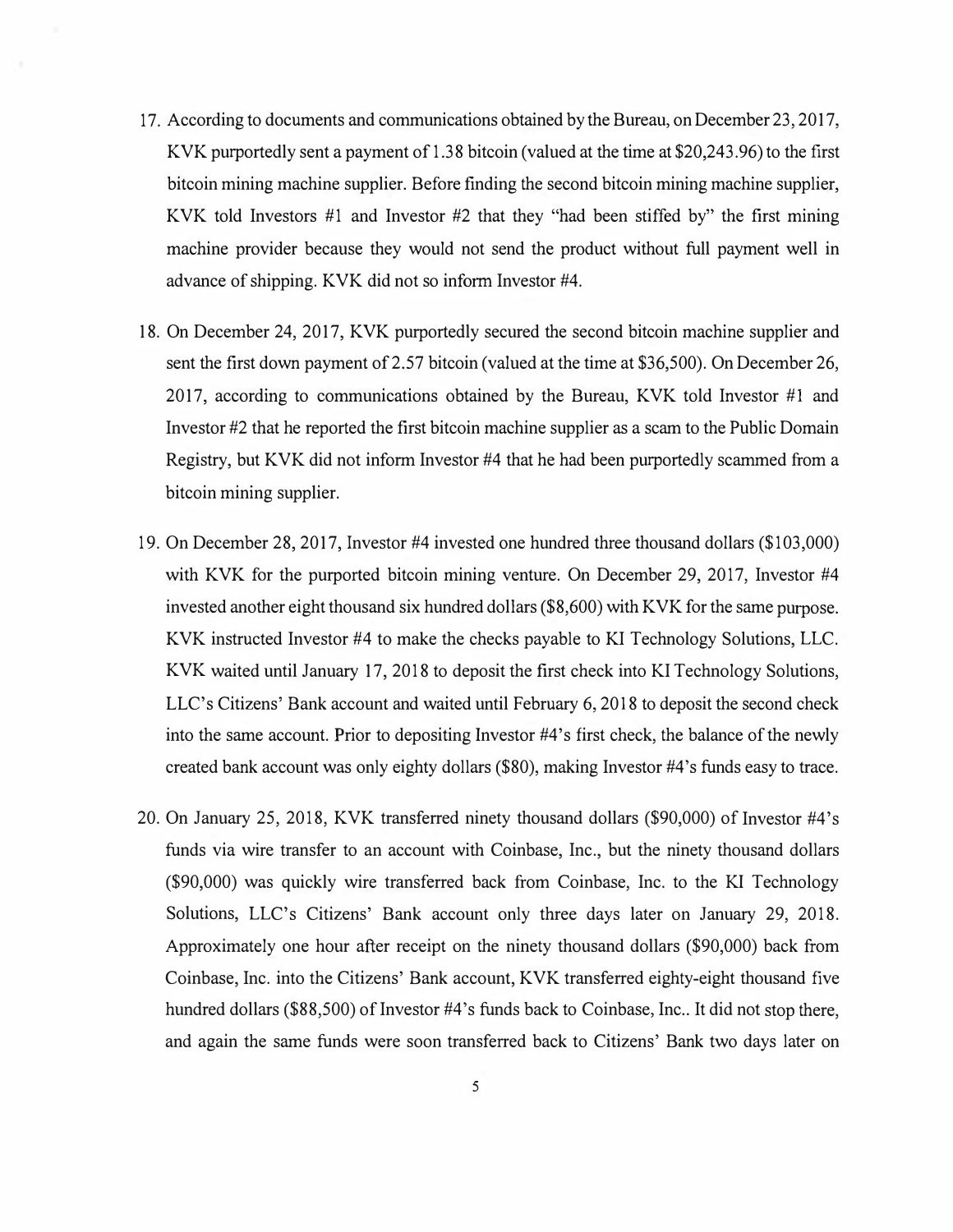- 17. According to documents and communications obtained by the Bureau, on December 23, 2017, KVK purportedly sent a payment of 1.38 bitcoin (valued at the time at \$20,243.96) to the first bitcoin mining machine supplier. Before finding the second bitcoin mining machine supplier, KVK told Investors  $#1$  and Investor  $#2$  that they "had been stiffed by" the first mining machine provider because they would not send the product without full payment well in advance of shipping. KVK did not so inform Investor #4.
- 18. On December 24, 2017, KVK purportedly secured the second bitcoin machine supplier and sent the first down payment of 2.57 bitcoin (valued at the time at \$36,500). On December 26, 2017, according to communications obtained by the Bureau, KVK told Investor  $#1$  and Investor #2 that he reported the first bitcoin machine supplier as a scam to the Public Domain Registry, but KVK did not inform Investor #4 that he had been purportedly scammed from a bitcoin mining supplier.
- 19. On December 28, 2017, Investor #4 invested one hundred three thousand dollars (\$103,000) with KVK for the purported bitcoin mining venture. On December 29, 2017, Investor #4 invested another eight thousand six hundred dollars (\$8,600) with KVK for the same purpose. KVK instructed Investor #4 to make the checks payable to KI Technology Solutions, LLC. KVK waited until January 17, 2018 to deposit the first check into KI Technology Solutions, LLC's Citizens' Bank account and waited until February 6, 2018 to deposit the second check into the same account. Prior to depositing Investor #4's first check, the balance of the newly created bank account was only eighty dollars (\$80), making Investor #4's funds easy to trace.
- 20. On January 25, 2018, KVK transferred ninety thousand dollars (\$90,000) of Investor #4's funds via wire transfer to an account with Coinbase, Inc., but the ninety thousand dollars (\$90,000) was quickly wire transferred back from Coinbase, Inc. to the KI Technology Solutions, LLC's Citizens' Bank account only three days later on January 29, 2018. Approximately one hour after receipt on the ninety thousand dollars (\$90,000) back from Coinbase, Inc. into the Citizens' Bank account, KVK transferred eighty-eight thousand five hundred dollars (\$88,500) of Investor #4's funds back to Coinbase, Inc.. It did not stop there, and again the same funds were soon transferred back to Citizens' Bank two days later on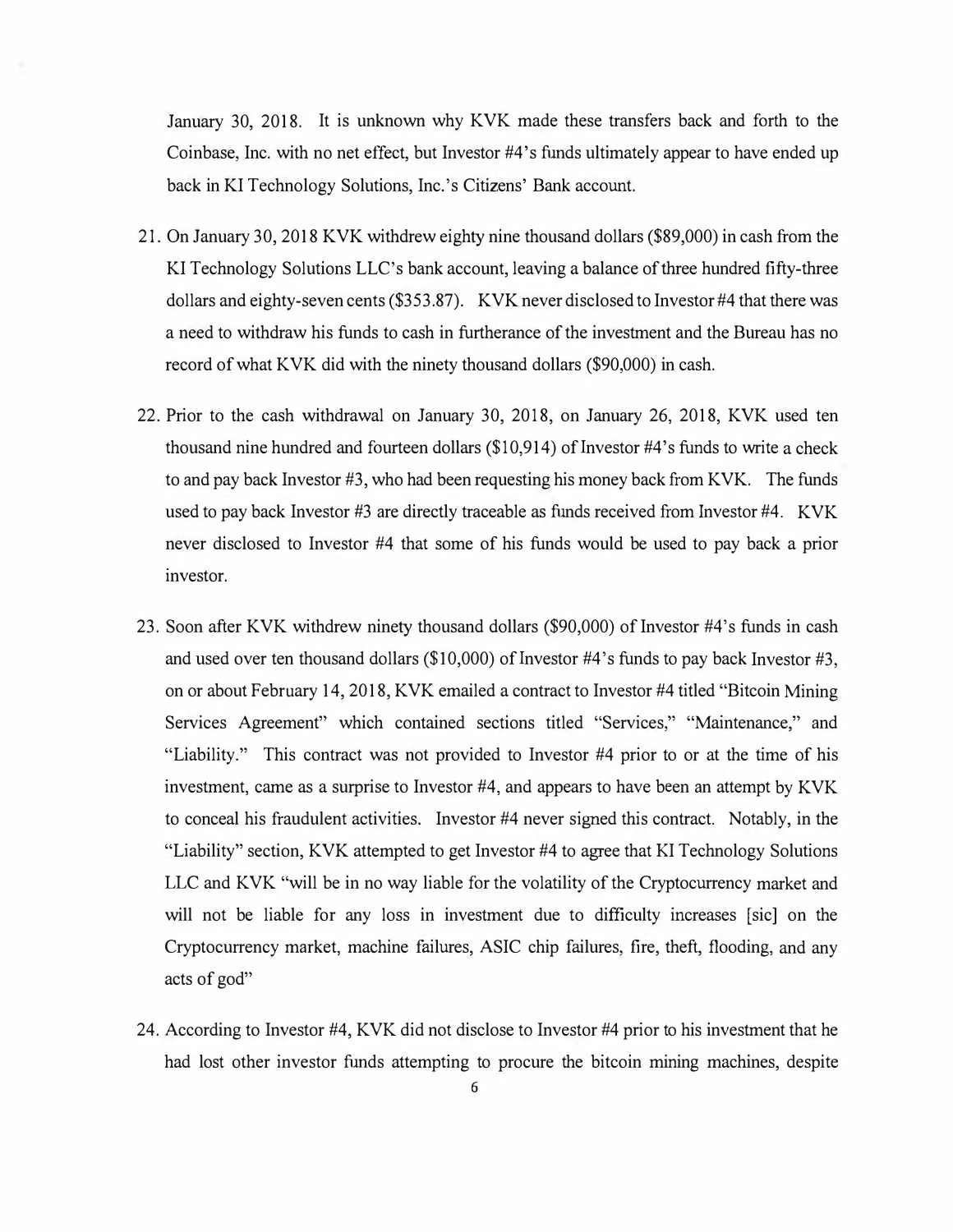January 30, 2018. It is unknown why KVK made these transfers back and forth to the Coinbase, Inc. with no net effect, but Investor #4's funds ultimately appear to have ended up back in KI Technology Solutions, Inc.'s Citizens' Bank account.

- 21. On January 30, 2018 KVK withdrew eighty nine thousand dollars (\$89,000) in cash from the KI Technology Solutions LLC's bank account, leaving a balance of three hundred fifty-three dollars and eighty-seven cents (\$353.87). KVK never disclosed to Investor #4 that there was a need to withdraw his funds to cash in furtherance of the investment and the Bureau has no record of what KVK did with the ninety thousand dollars (\$90,000) in cash.
- 22. Prior to the cash withdrawal on January 30, 2018, on January 26, 2018, KVK used ten thousand nine hundred and fourteen dollars  $(\$10,914)$  of Investor #4's funds to write a check to and pay back Investor #3, who had been requesting his money back from KVK. The funds used to pay back Investor #3 are directly traceable as funds received from Investor #4. KVK never disclosed to Investor #4 that some of his funds would be used to pay back a prior investor.
- 23. Soon after KVK withdrew ninety thousand dollars (\$90,000) of Investor #4's funds in cash and used over ten thousand dollars (\$10,000) of Investor #4's funds to pay back Investor #3, on or about February 14, 2018, KVK emailed a contract to Investor #4 titled "Bitcoin Mining Services Agreement" which contained sections titled "Services," "Maintenance," and "Liability." This contract was not provided to Investor #4 prior to or at the time of his investment, came as a surprise to Investor #4, and appears to have been an attempt by KVK to conceal his fraudulent activities. Investor #4 never signed this contract. Notably, in the "Liability" section, KVK attempted to get Investor #4 to agree that KI Technology Solutions LLC and KVK "will be in no way liable for the volatility of the Cryptocurrency market and will not be liable for any loss in investment due to difficulty increases [sic] on the Cryptocurrency market, machine failures, ASIC chip failures, fire, theft, flooding, and any acts of god"
- 24. According to Investor #4, KVK did not disclose to Investor #4 prior to his investment that he had lost other investor funds attempting to procure the bitcoin mining machines, despite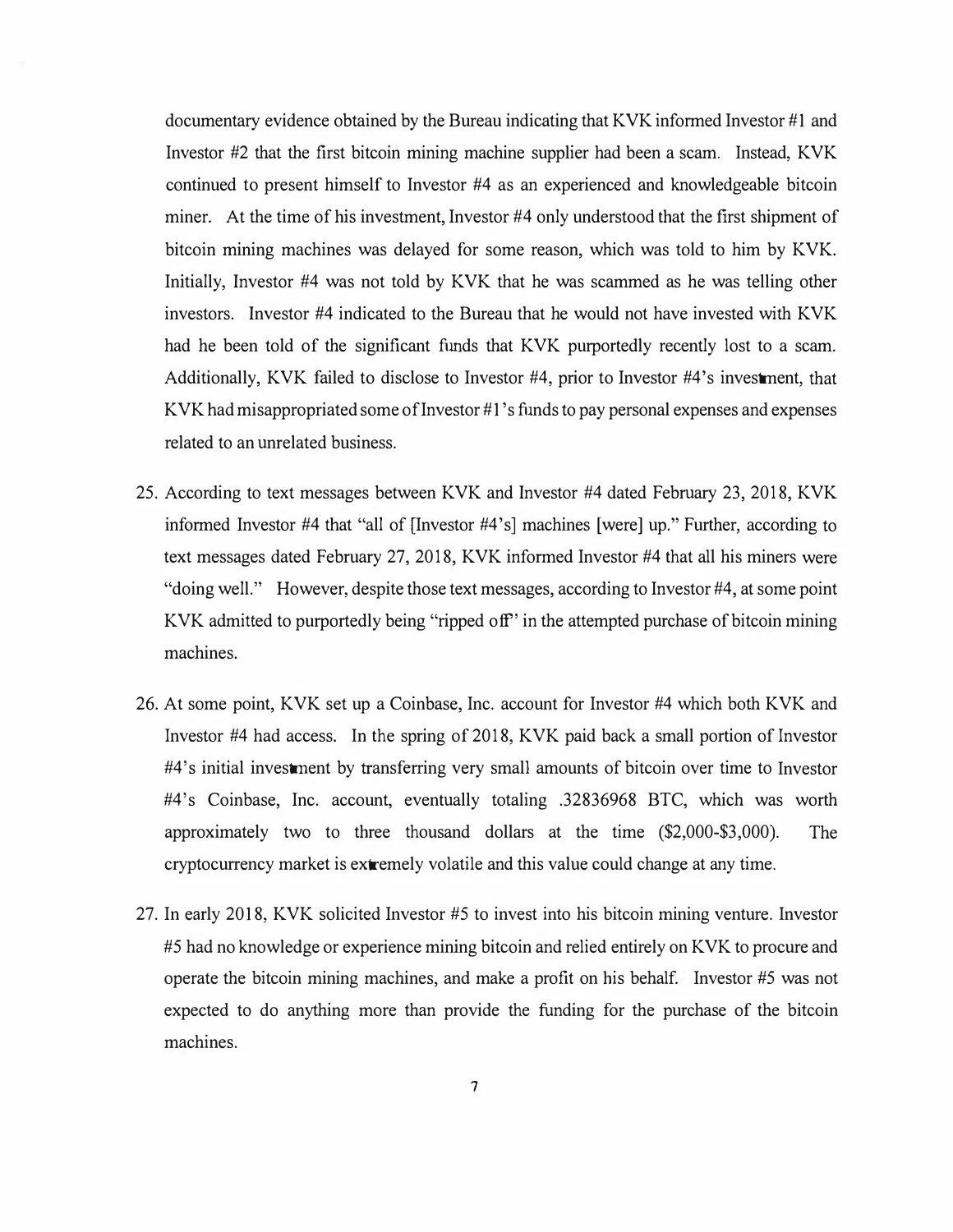documentary evidence obtained by the Bureau indicating that KVK informed Investor #1 and Investor #2 that the first bitcoin mining machine supplier had been a scam. Instead, KVK continued to present himself to Investor #4 as an experienced and knowledgeable bitcoin miner. At the time of his investment, Investor #4 only understood that the first shipment of bitcoin mining machines was delayed for some reason, which was told to him by KVK. Initially, Investor #4 was not told by KVK that he was scammed as he was telling other investors. Investor #4 indicated to the Bureau that he would not have invested with KVK had he been told of the significant funds that KVK purportedly recently lost to a scam. Additionally, KVK failed to disclose to Investor #4, prior to Investor #4's investment, that KVK had misappropriated some of Investor  $#1$ 's funds to pay personal expenses and expenses related to an unrelated business.

- 25. According to text messages between KVK and Investor #4 dated February 23, 2018, KVK informed Investor #4 that "all of [Investor #4's] machines [were] up." Further, according to text messages dated February 27, 2018, KVK informed Investor #4 that all his miners were "doing well." However, despite those text messages, according to Investor #4, at some point KVK admitted to purportedly being "ripped off' in the attempted purchase of bitcoin mining machines.
- 26. At some point, KVK set up a Coinbase, Inc. account for Investor #4 which both KVK and Investor #4 had access. In the spring of 2018, KVK paid back a small portion of Investor #4' s initial investment by transferring very small amounts of bitcoin over time to Investor #4's Coinbase, Inc. account, eventually totaling .32836968 BTC, which was worth approximately two to three thousand dollars at the time (\$2,000-\$3,000). The cryptocurrency market is extremely volatile and this value could change at any time.
- 27. In early 2018, KVK solicited Investor #5 to invest into his bitcoin mining venture. Investor #5 had no knowledge or experience mining bitcoin and relied entirely on KVK to procure and operate the bitcoin mining machines, and make a profit on his behalf. Investor #5 was not expected to do anything more than provide the funding for the purchase of the bitcoin machines.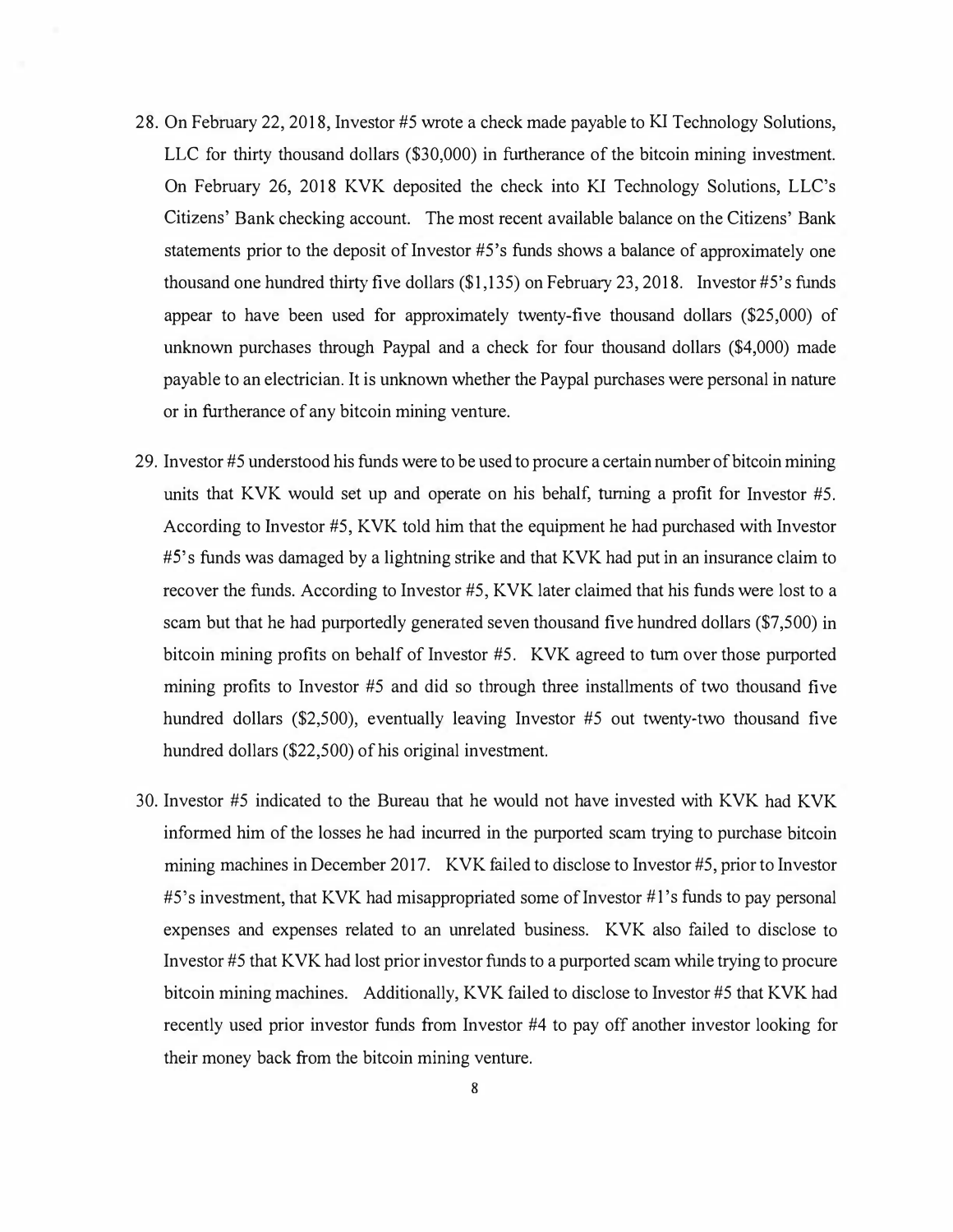- 28. On February 22, 2018, Investor #5 wrote a check made payable to KI Technology Solutions, LLC for thirty thousand dollars (\$30,000) in furtherance of the bitcoin mining investment. On February 26, 2018 KVK deposited the check into *Kl* Technology Solutions, LLC's Citizens' Bank checking account. The most recent available balance on the Citizens' Bank statements prior to the deposit of Investor #5 's funds shows a balance of approximately one thousand one hundred thirty five dollars (\$1,135) on February 23, 2018. Investor #S's funds appear to have been used for approximately twenty-five thousand dollars (\$25,000) of unknown purchases through Paypal and a check for four thousand dollars (\$4,000) made payable to an electrician. It is unknown whether the Paypal purchases were personal in nature or in furtherance of any bitcoin mining venture.
- 29. Investor #5 understood his funds were to be used to procure a certain number of bitcoin mining units that KVK would set up and operate on his behalf, turning a profit for Investor #5. According to Investor #5, KVK told him that the equipment he had purchased with Investor #S's funds was damaged by a lightning strike and that KVK had put in an insurance claim to recover the funds. According to Investor #5, KVK later claimed that his funds were lost to a scam but that he had purportedly generated seven thousand five hundred dollars (\$7,500) in bitcoin mining profits on behalf of Investor #5. KVK agreed to turn over those purported mining profits to Investor #5 and did so through three installments of two thousand five hundred dollars (\$2,500), eventually leaving Investor #5 out twenty-two thousand five hundred dollars (\$22,500) of his original investment.
- 30. Investor #5 indicated to the Bureau that he would not have invested with KVK had KVK informed him of the losses he had incurred in the purported scam trying to purchase bitcoin mining machines in December 2017. KVK failed to disclose to Investor #5, prior to Investor  $#5$ 's investment, that KVK had misappropriated some of Investor  $#1$ 's funds to pay personal expenses and expenses related to an unrelated business. KVK also failed to disclose to Investor #5 that KVK had lost prior investor funds to a purported scam while trying to procure bitcoin mining machines. Additionally, KVK failed to disclose to Investor #5 that KVK had recently used prior investor funds from Investor #4 to pay off another investor looking for their money back from the bitcoin mining venture.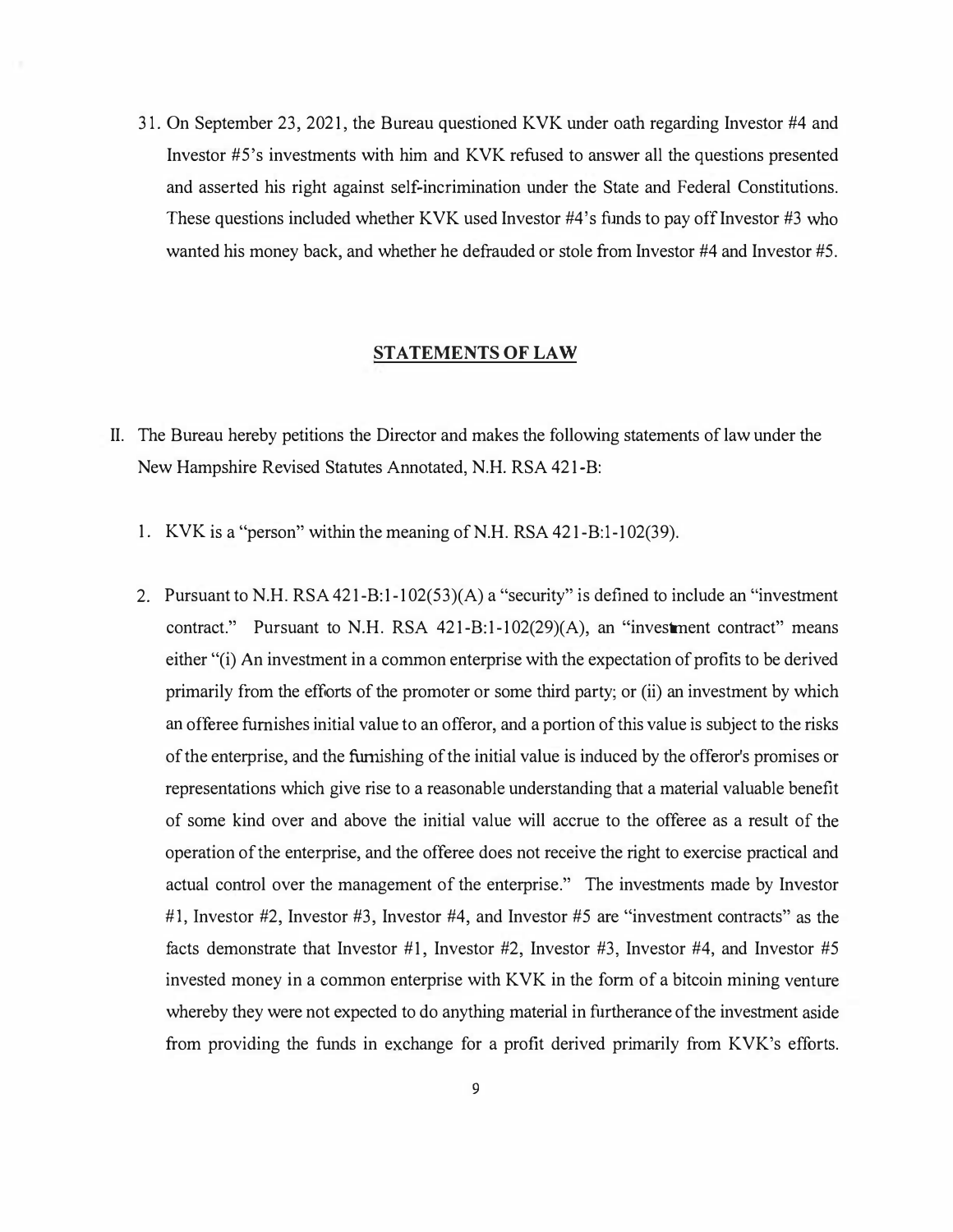31. On September 23, 2021, the Bureau questioned KVK under oath regarding Investor #4 and Investor #S's investments with him and KVK refused to answer all the questions presented and asserted his right against self-incrimination under the State and Federal Constitutions. These questions included whether KVK used Investor #4's funds to pay off Investor #3 who wanted his money back, and whether he defrauded or stole from Investor #4 and Investor #5.

#### **STATEMENTS OF LAW**

- II. The Bureau hereby petitions the Director and makes the following statements of law under the New Hampshire Revised Statutes Annotated, N.H. RSA 421-B:
	- 1. KVK is a "person" within the meaning of N.H. RSA 421-B:1-102(39).
	- 2. Pursuant to N.H. RSA 421-B:1-102(53)(A) a "security" is defined to include an "investment contract." Pursuant to N.H. RSA 421-B:1-102(29)(A), an "investment contract" means either "(i) An investment in a common enterprise with the expectation of profits to be derived primarily from the efforts of the promoter or some third party; or (ii) an investment by which an offeree furnishes initial value to an offeror, and a portion of this value is subject to the risks of the enterprise, and the furnishing of the initial value is induced by the offeror's promises or representations which give rise to a reasonable understanding that a material valuable benefit of some kind over and above the initial value will accrue to the offeree as a result of the operation of the enterprise, and the offeree does not receive the right to exercise practical and actual control over the management of the enterprise." The investments made by Investor #1, Investor #2, Investor #3, Investor #4, and Investor #5 are "investment contracts" as the facts demonstrate that Investor #1, Investor #2, Investor #3, Investor #4, and Investor #5 invested money in a common enterprise with KVK in the form of a bitcoin mining venture whereby they were not expected to do anything material in furtherance of the investment aside from providing the funds in exchange for a profit derived primarily from KVK's efforts.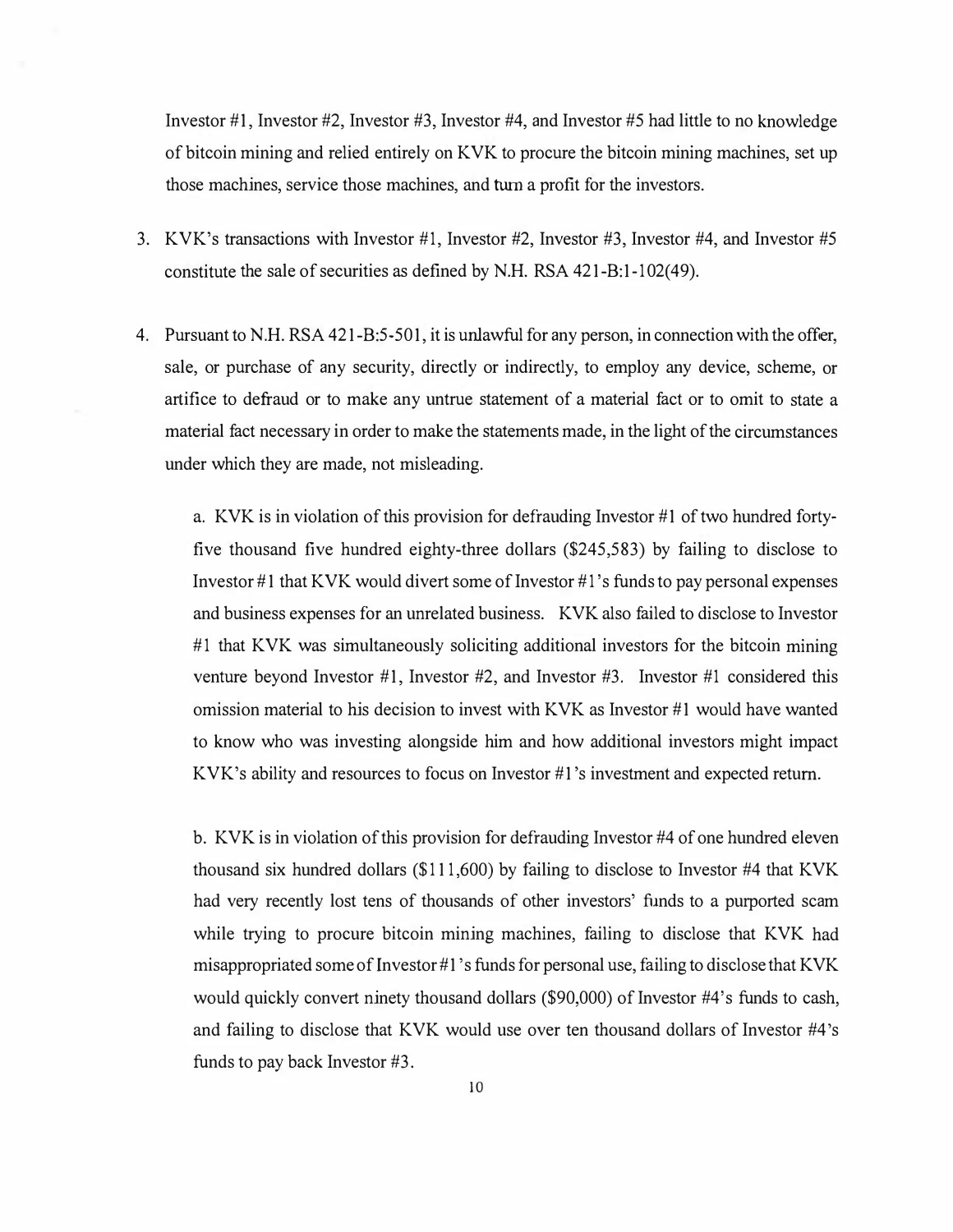Investor #1, Investor #2, Investor #3, Investor #4, and Investor #5 had little to no knowledge of bitcoin mining and relied entirely on KVK to procure the bitcoin mining machines, set up those machines, service those machines, and turn a profit for the investors.

- 3. KVK's transactions with Investor #1, Investor #2, Investor #3, Investor #4, and Investor #5 constitute the sale of securities as defined by N.H. RSA 421-B:1-102(49).
- 4. Pursuant to N.H. RSA 421-B:5-501, it is unlawful for any person, in connection with the offer, sale, or purchase of any security, directly or indirectly, to employ any device, scheme, or artifice to defraud or to make any untrue statement of a material fact or to omit to state a material fact necessary in order to make the statements made, in the light of the circumstances under which they are made, not misleading.

a. KVK is in violation of this provision for defrauding Investor #1 of two hundred fortyfive thousand five hundred eighty-three dollars (\$245,583) by failing to disclose to Investor #1 that KVK would divert some of Investor #1 's funds to pay personal expenses and business expenses for an unrelated business. KVK also failed to disclose to Investor #1 that KVK was simultaneously soliciting additional investors for the bitcoin mining venture beyond Investor #1, Investor #2, and Investor #3. Investor #1 considered this omission material to his decision to invest with KVK as Investor #1 would have wanted to know who was investing alongside him and how additional investors might impact KVK's ability and resources to focus on Investor #1 's investment and expected return.

b. KVK is in violation of this provision for defrauding Investor #4 of one hundred eleven thousand six hundred dollars (\$111,600) by failing to disclose to Investor #4 that KVK had very recently lost tens of thousands of other investors' funds to a purported scam while trying to procure bitcoin mining machines, failing to disclose that KVK had misappropriated some of Investor #1's funds for personal use, failing to disclose that KVK would quickly convert ninety thousand dollars (\$90,000) of Investor #4's funds to cash, and failing to disclose that KVK would use over ten thousand dollars of Investor #4 's funds to pay back Investor #3.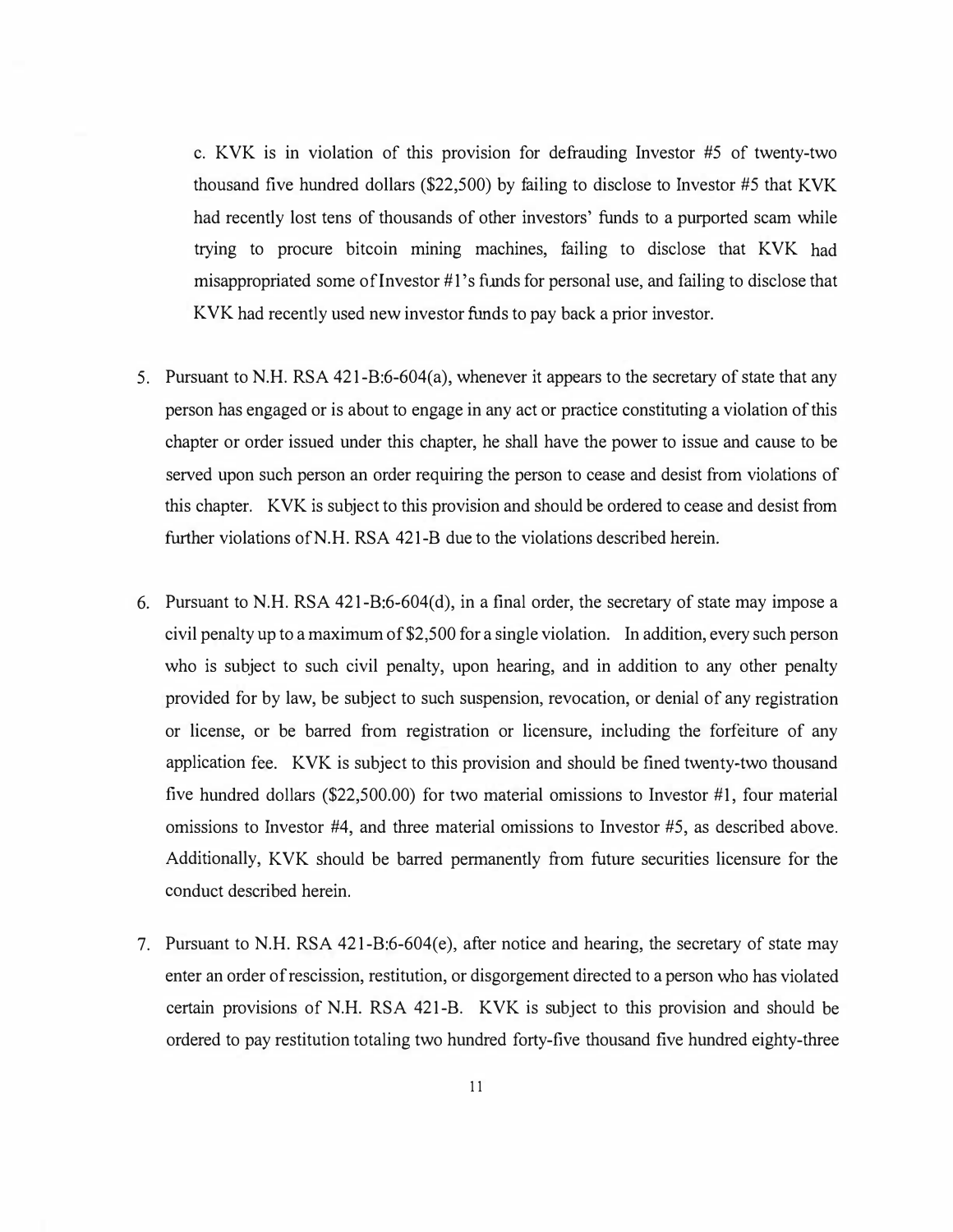c. KVK is in violation of this provision for defrauding Investor #5 of twenty-two thousand five hundred dollars (\$22,500) by failing to disclose to Investor #5 that KVK had recently lost tens of thousands of other investors' funds to a purported scam while trying to procure bitcoin mining machines, failing to disclose that KVK had misappropriated some of Investor #1's funds for personal use, and failing to disclose that KVK had recently used new investor funds to pay back a prior investor.

- 5. Pursuant to N.H. RSA 421-B:6-604(a), whenever it appears to the secretary of state that any person has engaged or is about to engage in any act or practice constituting a violation of this chapter or order issued under this chapter, he shall have the power to issue and cause to be served upon such person an order requiring the person to cease and desist from violations of this chapter. KVK is subject to this provision and should be ordered to cease and desist from further violations ofN.H. RSA 421-B due to the violations described herein.
- 6. Pursuant to N.H. RSA 421-B:6-604(d), in a final order, the secretary of state may impose a civil penalty up to a maximum of \$2,500 for a single violation. In addition, every such person who is subject to such civil penalty, upon hearing, and in addition to any other penalty provided for by law, be subject to such suspension, revocation, or denial of any registration or license, or be barred from registration or licensure, including the forfeiture of any application fee. KVK is subject to this provision and should be fined twenty-two thousand five hundred dollars (\$22,500.00) for two material omissions to Investor #1, four material omissions to Investor #4, and three material omissions to Investor #5, as described above. Additionally, KVK should be barred permanently from future securities licensure for the conduct described herein.
- 7. Pursuant to N.H. RSA 421-B:6-604(e), after notice and hearing, the secretary of state may enter an order of rescission, restitution, or disgorgement directed to a person who has violated certain provisions of N.H. RSA 421-B. KVK is subject to this provision and should be ordered to pay restitution totaling two hundred forty-five thousand five hundred eighty-three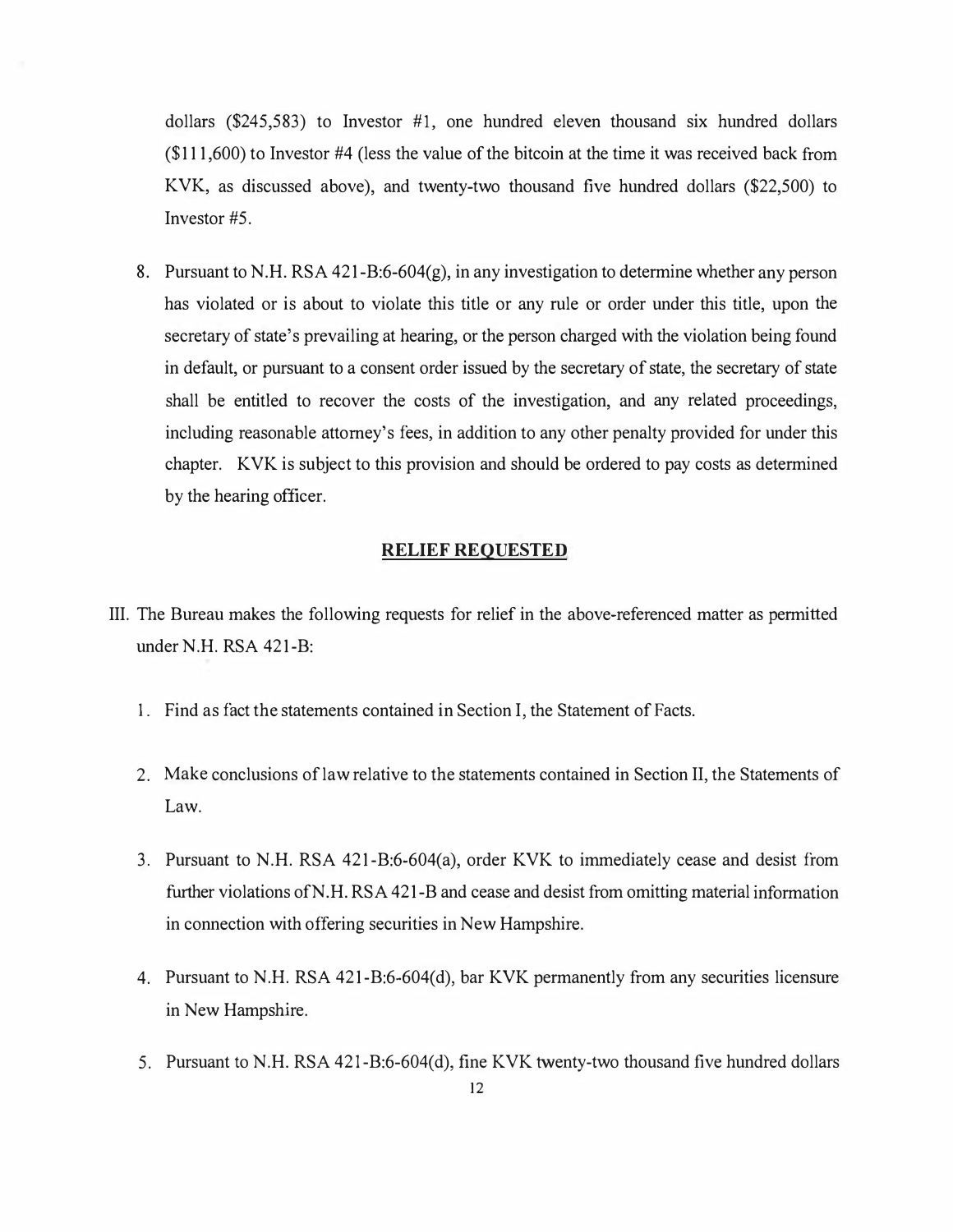dollars (\$245,583) to Investor #1, one hundred eleven thousand six hundred dollars (\$111,600) to Investor #4 (less the value of the bitcoin at the time it was received back from KVK, as discussed above), and twenty-two thousand five hundred dollars (\$22,500) to Investor #5.

8. Pursuant to N.H. RSA 421-B:6-604(g), in any investigation to determine whether any person has violated or is about to violate this title or any rule or order under this title, upon the secretary of state's prevailing at hearing, or the person charged with the violation being found in default, or pursuant to a consent order issued by the secretary of state, the secretary of state shall be entitled to recover the costs of the investigation, and any related proceedings, including reasonable attorney's fees, in addition to any other penalty provided for under this chapter. KVK is subject to this provision and should be ordered to pay costs as determined by the hearing officer.

#### **RELIEF REQUESTED**

- III. The Bureau makes the following requests for relief in the above-referenced matter as permitted under N.H. RSA 421-B:
	- 1. Find as fact the statements contained in Section I, the Statement of Facts.
	- 2. Make conclusions of law relative to the statements contained in Section II, the Statements of Law.
	- 3. Pursuant to N.H. RSA 421-B:6-604(a), order KVK to immediately cease and desist from further violations ofN.H. RSA 421-B and cease and desist from omitting material information in connection with offering securities in New Hampshire.
	- 4. Pursuant to N.H. RSA 421-B:6-604(d), bar KVK permanently from any securities licensure in New Hampshire.
	- 5. Pursuant to N.H. RSA 421-B:6-604(d), fine KVK twenty-two thousand five hundred dollars